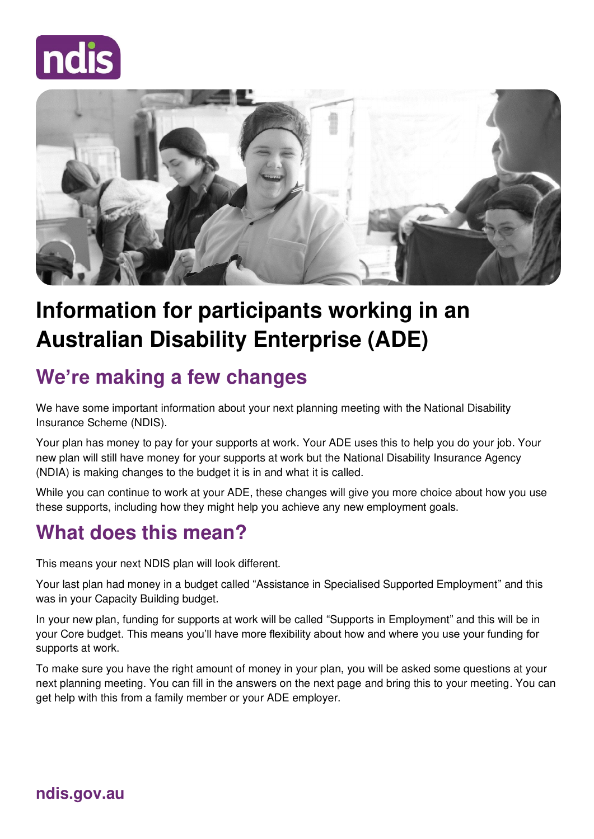



# **Information for participants working in an Australian Disability Enterprise (ADE)**

## **We're making a few changes**

We have some important information about your next planning meeting with the National Disability Insurance Scheme (NDIS).

Your plan has money to pay for your supports at work. Your ADE uses this to help you do your job. Your new plan will still have money for your supports at work but the National Disability Insurance Agency (NDIA) is making changes to the budget it is in and what it is called.

While you can continue to work at your ADE, these changes will give you more choice about how you use these supports, including how they might help you achieve any new employment goals.

# **What does this mean?**

This means your next NDIS plan will look different.

Your last plan had money in a budget called "Assistance in Specialised Supported Employment" and this was in your Capacity Building budget.

In your new plan, funding for supports at work will be called "Supports in Employment" and this will be in your Core budget. This means you'll have more flexibility about how and where you use your funding for supports at work.

To make sure you have the right amount of money in your plan, you will be asked some questions at your next planning meeting. You can fill in the answers on the next page and bring this to your meeting. You can get help with this from a family member or your ADE employer.